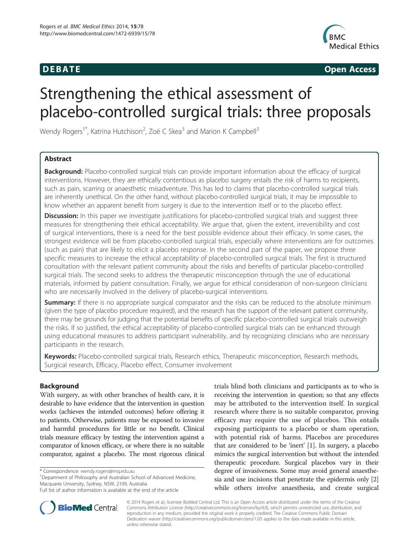

**DEBATE CONSIDERENT CONSIDERED ACCESS** 

# Strengthening the ethical assessment of placebo-controlled surgical trials: three proposals

Wendy Rogers<sup>1\*</sup>, Katrina Hutchison<sup>2</sup>, Zoë C Skea<sup>3</sup> and Marion K Campbell<sup>3</sup>

# Abstract

**Background:** Placebo-controlled surgical trials can provide important information about the efficacy of surgical interventions. However, they are ethically contentious as placebo surgery entails the risk of harms to recipients, such as pain, scarring or anaesthetic misadventure. This has led to claims that placebo-controlled surgical trials are inherently unethical. On the other hand, without placebo-controlled surgical trials, it may be impossible to know whether an apparent benefit from surgery is due to the intervention itself or to the placebo effect.

**Discussion:** In this paper we investigate justifications for placebo-controlled surgical trials and suggest three measures for strengthening their ethical acceptability. We argue that, given the extent, irreversibility and cost of surgical interventions, there is a need for the best possible evidence about their efficacy. In some cases, the strongest evidence will be from placebo-controlled surgical trials, especially where interventions are for outcomes (such as pain) that are likely to elicit a placebo response. In the second part of the paper, we propose three specific measures to increase the ethical acceptability of placebo-controlled surgical trials. The first is structured consultation with the relevant patient community about the risks and benefits of particular placebo-controlled surgical trials. The second seeks to address the therapeutic misconception through the use of educational materials, informed by patient consultation. Finally, we argue for ethical consideration of non-surgeon clinicians who are necessarily involved in the delivery of placebo-surgical interventions.

**Summary:** If there is no appropriate surgical comparator and the risks can be reduced to the absolute minimum (given the type of placebo procedure required), and the research has the support of the relevant patient community, there may be grounds for judging that the potential benefits of specific placebo-controlled surgical trials outweigh the risks. If so justified, the ethical acceptability of placebo-controlled surgical trials can be enhanced through using educational measures to address participant vulnerability, and by recognizing clinicians who are necessary participants in the research.

Keywords: Placebo-controlled surgical trials, Research ethics, Therapeutic misconception, Research methods, Surgical research, Efficacy, Placebo effect, Consumer involvement

# Background

With surgery, as with other branches of health care, it is desirable to have evidence that the intervention in question works (achieves the intended outcomes) before offering it to patients. Otherwise, patients may be exposed to invasive and harmful procedures for little or no benefit. Clinical trials measure efficacy by testing the intervention against a comparator of known efficacy, or where there is no suitable comparator, against a placebo. The most rigorous clinical

<sup>1</sup>Department of Philosophy and Australian School of Advanced Medicine, Macquarie University, Sydney, NSW, 2109, Australia

trials blind both clinicians and participants as to who is receiving the intervention in question; so that any effects may be attributed to the intervention itself. In surgical research where there is no suitable comparator, proving efficacy may require the use of placebos. This entails exposing participants to a placebo or sham operation, with potential risk of harms. Placebos are procedures that are considered to be 'inert' [[1\]](#page-8-0). In surgery, a placebo mimics the surgical intervention but without the intended therapeutic procedure. Surgical placebos vary in their degree of invasiveness. Some may avoid general anaesthesia and use incisions that penetrate the epidermis only [[2](#page-8-0)] while others involve anaesthesia, and create surgical



© 2014 Rogers et al.; licensee BioMed Central Ltd. This is an Open Access article distributed under the terms of the Creative Commons Attribution License [\(http://creativecommons.org/licenses/by/4.0\)](http://creativecommons.org/licenses/by/4.0), which permits unrestricted use, distribution, and reproduction in any medium, provided the original work is properly credited. The Creative Commons Public Domain Dedication waiver [\(http://creativecommons.org/publicdomain/zero/1.0/](http://creativecommons.org/publicdomain/zero/1.0/)) applies to the data made available in this article, unless otherwise stated.

<sup>\*</sup> Correspondence: [wendy.rogers@mq.edu.au](mailto:wendy.rogers@mq.edu.au) <sup>1</sup>

Full list of author information is available at the end of the article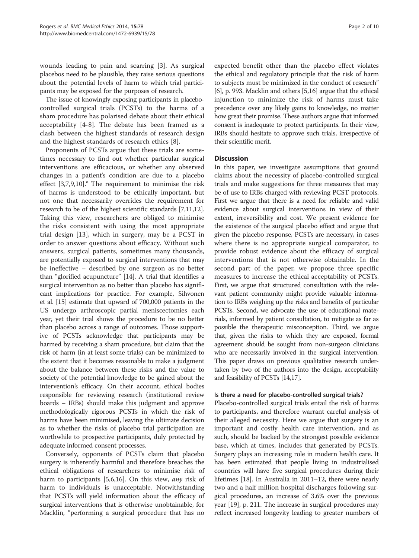wounds leading to pain and scarring [[3](#page-8-0)]. As surgical placebos need to be plausible, they raise serious questions about the potential levels of harm to which trial participants may be exposed for the purposes of research.

The issue of knowingly exposing participants in placebocontrolled surgical trials (PCSTs) to the harms of a sham procedure has polarised debate about their ethical acceptability [[4-8\]](#page-8-0). The debate has been framed as a clash between the highest standards of research design and the highest standards of research ethics [[8](#page-8-0)].

Proponents of PCSTs argue that these trials are sometimes necessary to find out whether particular surgical interventions are efficacious, or whether any observed changes in a patient's condition are due to a placebo effect  $[3,7,9,10]$  $[3,7,9,10]$ .<sup>a</sup> The requirement to minimise the risk of harms is understood to be ethically important, but not one that necessarily overrides the requirement for research to be of the highest scientific standards [\[7,11,12](#page-8-0)]. Taking this view, researchers are obliged to minimise the risks consistent with using the most appropriate trial design [[13\]](#page-8-0), which in surgery, may be a PCST in order to answer questions about efficacy. Without such answers, surgical patients, sometimes many thousands, are potentially exposed to surgical interventions that may be ineffective – described by one surgeon as no better than "glorified acupuncture" [[14](#page-8-0)]. A trial that identifies a surgical intervention as no better than placebo has significant implications for practice. For example, Sihvonen et al. [\[15](#page-8-0)] estimate that upward of 700,000 patients in the US undergo arthroscopic partial meniscectomies each year, yet their trial shows the procedure to be no better than placebo across a range of outcomes. Those supportive of PCSTs acknowledge that participants may be harmed by receiving a sham procedure, but claim that the risk of harm (in at least some trials) can be minimized to the extent that it becomes reasonable to make a judgment about the balance between these risks and the value to society of the potential knowledge to be gained about the intervention's efficacy. On their account, ethical bodies responsible for reviewing research (institutional review boards – IRBs) should make this judgment and approve methodologically rigorous PCSTs in which the risk of harms have been minimised, leaving the ultimate decision as to whether the risks of placebo trial participation are worthwhile to prospective participants, duly protected by adequate informed consent processes.

Conversely, opponents of PCSTs claim that placebo surgery is inherently harmful and therefore breaches the ethical obligations of researchers to minimise risk of harm to participants [\[5,6,16](#page-8-0)]. On this view, *any* risk of harm to individuals is unacceptable. Notwithstanding that PCSTs will yield information about the efficacy of surgical interventions that is otherwise unobtainable, for Macklin, "performing a surgical procedure that has no

expected benefit other than the placebo effect violates the ethical and regulatory principle that the risk of harm to subjects must be minimized in the conduct of research" [[6\]](#page-8-0), p. 993. Macklin and others [\[5,16\]](#page-8-0) argue that the ethical injunction to minimize the risk of harms must take precedence over any likely gains to knowledge, no matter how great their promise. These authors argue that informed consent is inadequate to protect participants. In their view, IRBs should hesitate to approve such trials, irrespective of their scientific merit.

# **Discussion**

In this paper, we investigate assumptions that ground claims about the necessity of placebo-controlled surgical trials and make suggestions for three measures that may be of use to IRBs charged with reviewing PCST protocols. First we argue that there is a need for reliable and valid evidence about surgical interventions in view of their extent, irreversibility and cost. We present evidence for the existence of the surgical placebo effect and argue that given the placebo response, PCSTs are necessary, in cases where there is no appropriate surgical comparator, to provide robust evidence about the efficacy of surgical interventions that is not otherwise obtainable. In the second part of the paper, we propose three specific measures to increase the ethical acceptability of PCSTs. First, we argue that structured consultation with the relevant patient community might provide valuable information to IRBs weighing up the risks and benefits of particular PCSTs. Second, we advocate the use of educational materials, informed by patient consultation, to mitigate as far as possible the therapeutic misconception. Third, we argue that, given the risks to which they are exposed, formal agreement should be sought from non-surgeon clinicians who are necessarily involved in the surgical intervention. This paper draws on previous qualitative research undertaken by two of the authors into the design, acceptability and feasibility of PCSTs [[14,17](#page-8-0)].

# Is there a need for placebo-controlled surgical trials?

Placebo-controlled surgical trials entail the risk of harms to participants, and therefore warrant careful analysis of their alleged necessity. Here we argue that surgery is an important and costly health care intervention, and as such, should be backed by the strongest possible evidence base, which at times, includes that generated by PCSTs. Surgery plays an increasing role in modern health care. It has been estimated that people living in industrialised countries will have five surgical procedures during their lifetimes [\[18\]](#page-8-0). In Australia in 2011–12, there were nearly two and a half million hospital discharges following surgical procedures, an increase of 3.6% over the previous year [\[19](#page-8-0)], p. 211. The increase in surgical procedures may reflect increased longevity leading to greater numbers of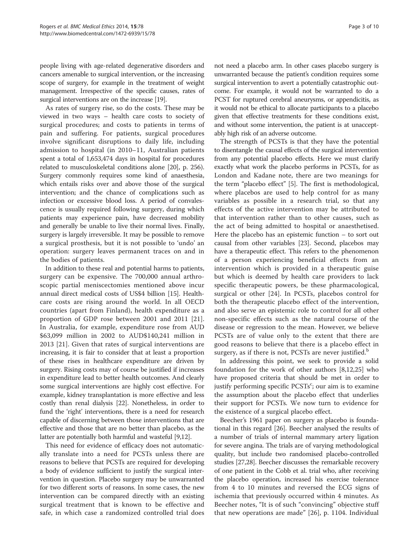people living with age-related degenerative disorders and cancers amenable to surgical intervention, or the increasing scope of surgery, for example in the treatment of weight management. Irrespective of the specific causes, rates of surgical interventions are on the increase [[19](#page-8-0)].

As rates of surgery rise, so do the costs. These may be viewed in two ways – health care costs to society of surgical procedures; and costs to patients in terms of pain and suffering. For patients, surgical procedures involve significant disruptions to daily life, including admission to hospital (in 2010–11, Australian patients spent a total of 1,653,474 days in hospital for procedures related to musculoskeletal conditions alone [\[20\]](#page-8-0), p. 256). Surgery commonly requires some kind of anaesthesia, which entails risks over and above those of the surgical intervention; and the chance of complications such as infection or excessive blood loss. A period of convalescence is usually required following surgery, during which patients may experience pain, have decreased mobility and generally be unable to live their normal lives. Finally, surgery is largely irreversible. It may be possible to remove a surgical prosthesis, but it is not possible to 'undo' an operation: surgery leaves permanent traces on and in the bodies of patients.

In addition to these real and potential harms to patients, surgery can be expensive. The 700,000 annual arthroscopic partial meniscectomies mentioned above incur annual direct medical costs of US\$4 billion [[15](#page-8-0)]. Healthcare costs are rising around the world. In all OECD countries (apart from Finland), health expenditure as a proportion of GDP rose between 2001 and 2011 [\[21](#page-8-0)]. In Australia, for example, expenditure rose from AUD \$63,099 million in 2002 to AUD\$140,241 million in 2013 [\[21](#page-8-0)]. Given that rates of surgical interventions are increasing, it is fair to consider that at least a proportion of these rises in healthcare expenditure are driven by surgery. Rising costs may of course be justified if increases in expenditure lead to better health outcomes. And clearly some surgical interventions are highly cost effective. For example, kidney transplantation is more effective and less costly than renal dialysis [\[22\]](#page-8-0). Nonetheless, in order to fund the 'right' interventions, there is a need for research capable of discerning between those interventions that are effective and those that are no better than placebo, as the latter are potentially both harmful and wasteful [[9,12](#page-8-0)].

This need for evidence of efficacy does not automatically translate into a need for PCSTs unless there are reasons to believe that PCSTs are required for developing a body of evidence sufficient to justify the surgical intervention in question. Placebo surgery may be unwarranted for two different sorts of reasons. In some cases, the new intervention can be compared directly with an existing surgical treatment that is known to be effective and safe, in which case a randomized controlled trial does

not need a placebo arm. In other cases placebo surgery is unwarranted because the patient's condition requires some surgical intervention to avert a potentially catastrophic outcome. For example, it would not be warranted to do a PCST for ruptured cerebral aneurysms, or appendicitis, as it would not be ethical to allocate participants to a placebo given that effective treatments for these conditions exist, and without some intervention, the patient is at unacceptably high risk of an adverse outcome.

The strength of PCSTs is that they have the potential to disentangle the causal effects of the surgical intervention from any potential placebo effects. Here we must clarify exactly what work the placebo performs in PCSTs, for as London and Kadane note, there are two meanings for the term "placebo effect" [\[5\]](#page-8-0). The first is methodological, where placebos are used to help control for as many variables as possible in a research trial, so that any effects of the active intervention may be attributed to that intervention rather than to other causes, such as the act of being admitted to hospital or anaesthetised. Here the placebo has an epistemic function – to sort out causal from other variables [\[23\]](#page-8-0). Second, placebos may have a therapeutic effect. This refers to the phenomenon of a person experiencing beneficial effects from an intervention which is provided in a therapeutic guise but which is deemed by health care providers to lack specific therapeutic powers, be these pharmacological, surgical or other [[24\]](#page-9-0). In PCSTs, placebos control for both the therapeutic placebo effect of the intervention, and also serve an epistemic role to control for all other non-specific effects such as the natural course of the disease or regression to the mean. However, we believe PCSTs are of value only to the extent that there are good reasons to believe that there is a placebo effect in surgery, as if there is not, PCSTs are never justified.<sup>b</sup>

In addressing this point, we seek to provide a solid foundation for the work of other authors [\[8,12](#page-8-0)[,25](#page-9-0)] who have proposed criteria that should be met in order to justify performing specific PCSTs<sup>c</sup>; our aim is to examine the assumption about the placebo effect that underlies their support for PCSTs. We now turn to evidence for the existence of a surgical placebo effect.

Beecher's 1961 paper on surgery as placebo is foundational in this regard [[26\]](#page-9-0). Beecher analysed the results of a number of trials of internal mammary artery ligation for severe angina. The trials are of varying methodological quality, but include two randomised placebo-controlled studies [\[27,28\]](#page-9-0). Beecher discusses the remarkable recovery of one patient in the Cobb et al. trial who, after receiving the placebo operation, increased his exercise tolerance from 4 to 10 minutes and reversed the ECG signs of ischemia that previously occurred within 4 minutes. As Beecher notes, "It is of such "convincing" objective stuff that new operations are made" [\[26](#page-9-0)], p. 1104. Individual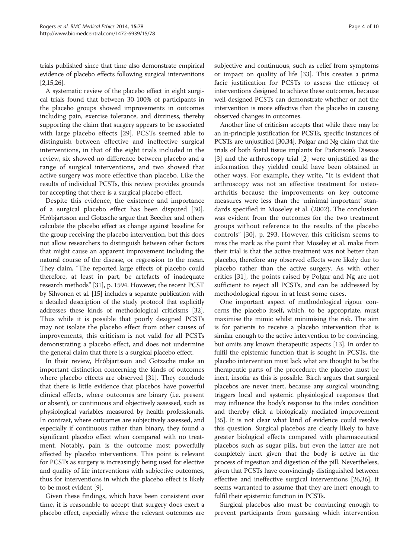trials published since that time also demonstrate empirical evidence of placebo effects following surgical interventions  $[2,15,26]$  $[2,15,26]$  $[2,15,26]$  $[2,15,26]$ .

A systematic review of the placebo effect in eight surgical trials found that between 30-100% of participants in the placebo groups showed improvements in outcomes including pain, exercise tolerance, and dizziness, thereby supporting the claim that surgery appears to be associated with large placebo effects [\[29](#page-9-0)]. PCSTs seemed able to distinguish between effective and ineffective surgical interventions, in that of the eight trials included in the review, six showed no difference between placebo and a range of surgical interventions, and two showed that active surgery was more effective than placebo. Like the results of individual PCSTs, this review provides grounds for accepting that there is a surgical placebo effect.

Despite this evidence, the existence and importance of a surgical placebo effect has been disputed [\[30](#page-9-0)]. Hróbjartsson and Gøtzsche argue that Beecher and others calculate the placebo effect as change against baseline for the group receiving the placebo intervention, but this does not allow researchers to distinguish between other factors that might cause an apparent improvement including the natural course of the disease, or regression to the mean. They claim, "The reported large effects of placebo could therefore, at least in part, be artefacts of inadequate research methods" [\[31](#page-9-0)], p. 1594. However, the recent PCST by Sihvonen et al. [\[15\]](#page-8-0) includes a separate publication with a detailed description of the study protocol that explicitly addresses these kinds of methodological criticisms [\[32](#page-9-0)]. Thus while it is possible that poorly designed PCSTs may not isolate the placebo effect from other causes of improvements, this criticism is not valid for all PCSTs demonstrating a placebo effect, and does not undermine the general claim that there is a surgical placebo effect.

In their review, Hróbjartsson and Gøtzsche make an important distinction concerning the kinds of outcomes where placebo effects are observed [\[31](#page-9-0)]. They conclude that there is little evidence that placebos have powerful clinical effects, where outcomes are binary (i.e. present or absent), or continuous and objectively assessed, such as physiological variables measured by health professionals. In contrast, where outcomes are subjectively assessed, and especially if continuous rather than binary, they found a significant placebo effect when compared with no treatment. Notably, pain is the outcome most powerfully affected by placebo interventions. This point is relevant for PCSTs as surgery is increasingly being used for elective and quality of life interventions with subjective outcomes, thus for interventions in which the placebo effect is likely to be most evident [[9\]](#page-8-0).

Given these findings, which have been consistent over time, it is reasonable to accept that surgery does exert a placebo effect, especially where the relevant outcomes are

subjective and continuous, such as relief from symptoms or impact on quality of life [\[33](#page-9-0)]. This creates a prima facie justification for PCSTs to assess the efficacy of interventions designed to achieve these outcomes, because well-designed PCSTs can demonstrate whether or not the intervention is more effective than the placebo in causing observed changes in outcomes.

Another line of criticism accepts that while there may be an in-principle justification for PCSTs, specific instances of PCSTs are unjustified [\[30,34](#page-9-0)]. Polgar and Ng claim that the trials of both foetal tissue implants for Parkinson's Disease [[3\]](#page-8-0) and the arthroscopy trial [\[2](#page-8-0)] were unjustified as the information they yielded could have been obtained in other ways. For example, they write, "It is evident that arthroscopy was not an effective treatment for osteoarthritis because the improvements on key outcome measures were less than the 'minimal important' standards specified in Moseley et al. (2002). The conclusion was evident from the outcomes for the two treatment groups without reference to the results of the placebo controls" [\[30](#page-9-0)], p. 293. However, this criticism seems to miss the mark as the point that Moseley et al. make from their trial is that the active treatment was not better than placebo, therefore any observed effects were likely due to placebo rather than the active surgery. As with other critics [[31\]](#page-9-0), the points raised by Polgar and Ng are not sufficient to reject all PCSTs, and can be addressed by methodological rigour in at least some cases.

One important aspect of methodological rigour concerns the placebo itself, which, to be appropriate, must maximise the mimic whilst minimising the risk. The aim is for patients to receive a placebo intervention that is similar enough to the active intervention to be convincing, but omits any known therapeutic aspects [[13](#page-8-0)]. In order to fulfil the epistemic function that is sought in PCSTs, the placebo intervention must lack what are thought to be the therapeutic parts of the procedure; the placebo must be inert, insofar as this is possible. Birch argues that surgical placebos are never inert, because any surgical wounding triggers local and systemic physiological responses that may influence the body's response to the index condition and thereby elicit a biologically mediated improvement [[35](#page-9-0)]. It is not clear what kind of evidence could resolve this question. Surgical placebos are clearly likely to have greater biological effects compared with pharmaceutical placebos such as sugar pills, but even the latter are not completely inert given that the body is active in the process of ingestion and digestion of the pill. Nevertheless, given that PCSTs have convincingly distinguished between effective and ineffective surgical interventions [\[26,36](#page-9-0)], it seems warranted to assume that they are inert enough to fulfil their epistemic function in PCSTs.

Surgical placebos also must be convincing enough to prevent participants from guessing which intervention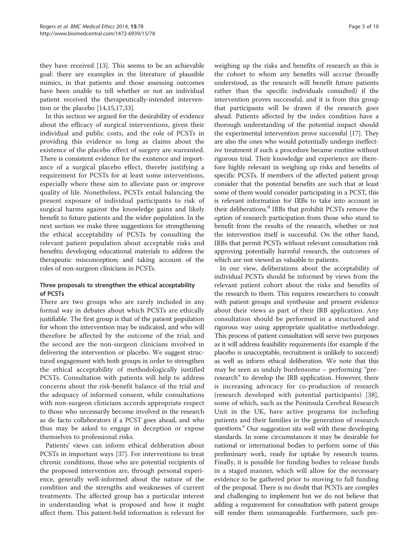they have received [[13](#page-8-0)]. This seems to be an achievable goal: there are examples in the literature of plausible mimics, in that patients and those assessing outcomes have been unable to tell whether or not an individual patient received the therapeutically-intended intervention or the placebo [[14,15,17,](#page-8-0)[33](#page-9-0)].

In this section we argued for the desirability of evidence about the efficacy of surgical interventions, given their individual and public costs, and the role of PCSTs in providing this evidence so long as claims about the existence of the placebo effect of surgery are warranted. There is consistent evidence for the existence and importance of a surgical placebo effect, thereby justifying a requirement for PCSTs for at least some interventions, especially where these aim to alleviate pain or improve quality of life. Nonetheless, PCSTs entail balancing the present exposure of individual participants to risk of surgical harms against the knowledge gains and likely benefit to future patients and the wider population. In the next section we make three suggestions for strengthening the ethical acceptability of PCSTs by consulting the relevant patient population about acceptable risks and benefits; developing educational materials to address the therapeutic misconception; and taking account of the roles of non-surgeon clinicians in PCSTs.

# Three proposals to strengthen the ethical acceptability of PCSTs

There are two groups who are rarely included in any formal way in debates about which PCSTs are ethically justifiable. The first group is that of the patient population for whom the intervention may be indicated, and who will therefore be affected by the outcome of the trial; and the second are the non-surgeon clinicians involved in delivering the intervention or placebo. We suggest structured engagement with both groups in order to strengthen the ethical acceptability of methodologically justified PCSTs. Consultation with patients will help to address concerns about the risk-benefit balance of the trial and the adequacy of informed consent, while consultations with non-surgeon clinicians accords appropriate respect to those who necessarily become involved in the research as de facto collaborators if a PCST goes ahead, and who thus may be asked to engage in deception or expose themselves to professional risks.

Patients' views can inform ethical deliberation about PCSTs in important ways [[37\]](#page-9-0). For interventions to treat chronic conditions, those who are potential recipients of the proposed intervention are, through personal experience, generally well-informed about the nature of the condition and the strengths and weaknesses of current treatments. The affected group has a particular interest in understanding what is proposed and how it might affect them. This patient-held information is relevant for

weighing up the risks and benefits of research as this is the cohort to whom any benefits will accrue (broadly understood, as the research will benefit future patients rather than the specific individuals consulted) if the intervention proves successful, and it is from this group that participants will be drawn if the research goes ahead. Patients affected by the index condition have a thorough understanding of the potential impact should the experimental intervention prove successful [\[17\]](#page-8-0). They are also the ones who would potentially undergo ineffective treatment if such a procedure became routine without rigorous trial. Their knowledge and experience are therefore highly relevant in weighing up risks and benefits of specific PCSTs. If members of the affected patient group consider that the potential benefits are such that at least some of them would consider participating in a PCST, this is relevant information for IRBs to take into account in their deliberations.<sup>d</sup> IRBs that prohibit PCSTs remove the option of research participation from those who stand to benefit from the results of the research, whether or not the intervention itself is successful. On the other hand, IRBs that permit PCSTs without relevant consultation risk approving potentially harmful research, the outcomes of which are not viewed as valuable to patients.

In our view, deliberations about the acceptability of individual PCSTs should be informed by views from the relevant patient cohort about the risks and benefits of the research to them. This requires researchers to consult with patient groups and synthesise and present evidence about their views as part of their IRB application. Any consultation should be performed in a structured and rigorous way using appropriate qualitative methodology. This process of patient consultation will serve two purposes as it will address feasibility requirements (for example if the placebo is unacceptable, recruitment is unlikely to succeed) as well as inform ethical deliberation. We note that this may be seen as unduly burdensome – performing "preresearch" to develop the IRB application. However, there is increasing advocacy for co-production of research (research developed with potential participants) [\[38](#page-9-0)], some of which, such as the Peninsula Cerebral Research Unit in the UK, have active programs for including patients and their families in the generation of research questions.<sup>e</sup> Our suggestion sits well with these developing standards. In some circumstances it may be desirable for national or international bodies to perform some of this preliminary work, ready for uptake by research teams. Finally, it is possible for funding bodies to release funds in a staged manner, which will allow for the necessary evidence to be gathered prior to moving to full funding of the proposal. There is no doubt that PCSTs are complex and challenging to implement but we do not believe that adding a requirement for consultation with patient groups will render them unmanageable. Furthermore, such pre-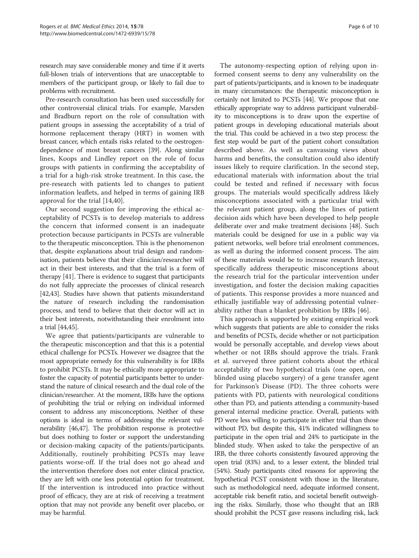research may save considerable money and time if it averts full-blown trials of interventions that are unacceptable to members of the participant group, or likely to fail due to problems with recruitment.

Pre-research consultation has been used successfully for other controversial clinical trials. For example, Marsden and Bradburn report on the role of consultation with patient groups in assessing the acceptability of a trial of hormone replacement therapy (HRT) in women with breast cancer, which entails risks related to the oestrogendependence of most breast cancers [\[39\]](#page-9-0). Along similar lines, Koops and Lindley report on the role of focus groups with patients in confirming the acceptability of a trial for a high-risk stroke treatment. In this case, the pre-research with patients led to changes to patient information leaflets, and helped in terms of gaining IRB approval for the trial [\[14](#page-8-0),[40\]](#page-9-0).

Our second suggestion for improving the ethical acceptability of PCSTs is to develop materials to address the concern that informed consent is an inadequate protection because participants in PCSTs are vulnerable to the therapeutic misconception. This is the phenomenon that, despite explanations about trial design and randomisation, patients believe that their clinician/researcher will act in their best interests, and that the trial is a form of therapy [\[41](#page-9-0)]. There is evidence to suggest that participants do not fully appreciate the processes of clinical research [[42,43](#page-9-0)]. Studies have shown that patients misunderstand the nature of research including the randomisation process, and tend to believe that their doctor will act in their best interests, notwithstanding their enrolment into a trial [\[44,45\]](#page-9-0).

We agree that patients/participants are vulnerable to the therapeutic misconception and that this is a potential ethical challenge for PCSTs. However we disagree that the most appropriate remedy for this vulnerability is for IRBs to prohibit PCSTs. It may be ethically more appropriate to foster the capacity of potential participants better to understand the nature of clinical research and the dual role of the clinician/researcher. At the moment, IRBs have the options of prohibiting the trial or relying on individual informed consent to address any misconceptions. Neither of these options is ideal in terms of addressing the relevant vulnerability [\[46,47\]](#page-9-0). The prohibition response is protective but does nothing to foster or support the understanding or decision-making capacity of the patients/participants. Additionally, routinely prohibiting PCSTs may leave patients worse-off. If the trial does not go ahead and the intervention therefore does not enter clinical practice, they are left with one less potential option for treatment. If the intervention is introduced into practice without proof of efficacy, they are at risk of receiving a treatment option that may not provide any benefit over placebo, or may be harmful.

The autonomy-respecting option of relying upon informed consent seems to deny any vulnerability on the part of patients/participants, and is known to be inadequate in many circumstances: the therapeutic misconception is certainly not limited to PCSTs [\[44\]](#page-9-0). We propose that one ethically appropriate way to address participant vulnerability to misconceptions is to draw upon the expertise of patient groups in developing educational materials about the trial. This could be achieved in a two step process: the first step would be part of the patient cohort consultation described above. As well as canvassing views about harms and benefits, the consultation could also identify issues likely to require clarification. In the second step, educational materials with information about the trial could be tested and refined if necessary with focus groups. The materials would specifically address likely misconceptions associated with a particular trial with the relevant patient group, along the lines of patient decision aids which have been developed to help people deliberate over and make treatment decisions [\[48\]](#page-9-0). Such materials could be designed for use in a public way via patient networks, well before trial enrolment commences, as well as during the informed consent process. The aim of these materials would be to increase research literacy, specifically address therapeutic misconceptions about the research trial for the particular intervention under investigation, and foster the decision making capacities of patients. This response provides a more nuanced and ethically justifiable way of addressing potential vulnerability rather than a blanket prohibition by IRBs [[46\]](#page-9-0).

This approach is supported by existing empirical work which suggests that patients are able to consider the risks and benefits of PCSTs, decide whether or not participation would be personally acceptable, and develop views about whether or not IRBs should approve the trials. Frank et al. surveyed three patient cohorts about the ethical acceptability of two hypothetical trials (one open, one blinded using placebo surgery) of a gene transfer agent for Parkinson's Disease (PD). The three cohorts were patients with PD, patients with neurological conditions other than PD, and patients attending a community-based general internal medicine practice. Overall, patients with PD were less willing to participate in either trial than those without PD, but despite this, 41% indicated willingness to participate in the open trial and 24% to participate in the blinded study. When asked to take the perspective of an IRB, the three cohorts consistently favoured approving the open trial (83%) and, to a lesser extent, the blinded trial (54%). Study participants cited reasons for approving the hypothetical PCST consistent with those in the literature, such as methodological need, adequate informed consent, acceptable risk benefit ratio, and societal benefit outweighing the risks. Similarly, those who thought that an IRB should prohibit the PCST gave reasons including risk, lack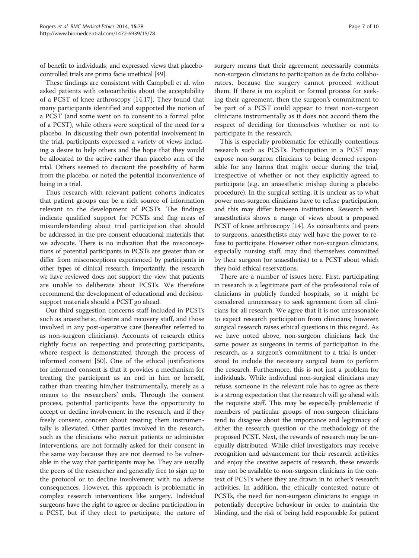of benefit to individuals, and expressed views that placebocontrolled trials are prima facie unethical [[49](#page-9-0)].

These findings are consistent with Campbell et al. who asked patients with osteoarthritis about the acceptability of a PCST of knee arthroscopy [\[14,17](#page-8-0)]. They found that many participants identified and supported the notion of a PCST (and some went on to consent to a formal pilot of a PCST), while others were sceptical of the need for a placebo. In discussing their own potential involvement in the trial, participants expressed a variety of views including a desire to help others and the hope that they would be allocated to the active rather than placebo arm of the trial. Others seemed to discount the possibility of harm from the placebo, or noted the potential inconvenience of being in a trial.

Thus research with relevant patient cohorts indicates that patient groups can be a rich source of information relevant to the development of PCSTs. The findings indicate qualified support for PCSTs and flag areas of misunderstanding about trial participation that should be addressed in the pre-consent educational materials that we advocate. There is no indication that the misconceptions of potential participants in PCSTs are greater than or differ from misconceptions experienced by participants in other types of clinical research. Importantly, the research we have reviewed does not support the view that patients are unable to deliberate about PCSTs. We therefore recommend the development of educational and decisionsupport materials should a PCST go ahead.

Our third suggestion concerns staff included in PCSTs such as anaesthetic, theatre and recovery staff, and those involved in any post-operative care (hereafter referred to as non-surgeon clinicians). Accounts of research ethics rightly focus on respecting and protecting participants, where respect is demonstrated through the process of informed consent [\[50](#page-9-0)]. One of the ethical justifications for informed consent is that it provides a mechanism for treating the participant as an end in him or herself, rather than treating him/her instrumentally, merely as a means to the researchers' ends. Through the consent process, potential participants have the opportunity to accept or decline involvement in the research, and if they freely consent, concern about treating them instrumentally is alleviated. Other parties involved in the research, such as the clinicians who recruit patients or administer interventions, are not formally asked for their consent in the same way because they are not deemed to be vulnerable in the way that participants may be. They are usually the peers of the researcher and generally free to sign up to the protocol or to decline involvement with no adverse consequences. However, this approach is problematic in complex research interventions like surgery. Individual surgeons have the right to agree or decline participation in a PCST, but if they elect to participate, the nature of

surgery means that their agreement necessarily commits non-surgeon clinicians to participation as de facto collaborators, because the surgery cannot proceed without them. If there is no explicit or formal process for seeking their agreement, then the surgeon's commitment to

be part of a PCST could appear to treat non-surgeon clinicians instrumentally as it does not accord them the respect of deciding for themselves whether or not to participate in the research.

This is especially problematic for ethically contentious research such as PCSTs. Participation in a PCST may expose non-surgeon clinicians to being deemed responsible for any harms that might occur during the trial, irrespective of whether or not they explicitly agreed to participate (e.g. an anaesthetic mishap during a placebo procedure). In the surgical setting, it is unclear as to what power non-surgeon clinicians have to refuse participation, and this may differ between institutions. Research with anaesthetists shows a range of views about a proposed PCST of knee arthroscopy [\[14](#page-8-0)]. As consultants and peers to surgeons, anaesthetists may well have the power to refuse to participate. However other non-surgeon clinicians, especially nursing staff, may find themselves committed by their surgeon (or anaesthetist) to a PCST about which they hold ethical reservations.

There are a number of issues here. First, participating in research is a legitimate part of the professional role of clinicians in publicly funded hospitals, so it might be considered unnecessary to seek agreement from all clinicians for all research. We agree that it is not unreasonable to expect research participation from clinicians; however, surgical research raises ethical questions in this regard. As we have noted above, non-surgeon clinicians lack the same power as surgeons in terms of participation in the research, as a surgeon's commitment to a trial is understood to include the necessary surgical team to perform the research. Furthermore, this is not just a problem for individuals. While individual non-surgical clinicians may refuse, someone in the relevant role has to agree as there is a strong expectation that the research will go ahead with the requisite staff. This may be especially problematic if members of particular groups of non-surgeon clinicians tend to disagree about the importance and legitimacy of either the research question or the methodology of the proposed PCST. Next, the rewards of research may be unequally distributed. While chief investigators may receive recognition and advancement for their research activities and enjoy the creative aspects of research, these rewards may not be available to non-surgeon clinicians in the context of PCSTs where they are drawn in to other's research activities. In addition, the ethically contested nature of PCSTs, the need for non-surgeon clinicians to engage in potentially deceptive behaviour in order to maintain the blinding, and the risk of being held responsible for patient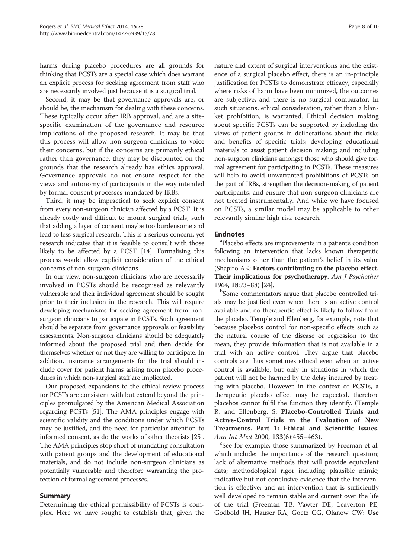harms during placebo procedures are all grounds for thinking that PCSTs are a special case which does warrant an explicit process for seeking agreement from staff who are necessarily involved just because it is a surgical trial.

Second, it may be that governance approvals are, or should be, the mechanism for dealing with these concerns. These typically occur after IRB approval, and are a sitespecific examination of the governance and resource implications of the proposed research. It may be that this process will allow non-surgeon clinicians to voice their concerns, but if the concerns are primarily ethical rather than governance, they may be discounted on the grounds that the research already has ethics approval. Governance approvals do not ensure respect for the views and autonomy of participants in the way intended by formal consent processes mandated by IRBs.

Third, it may be impractical to seek explicit consent from every non-surgeon clinician affected by a PCST. It is already costly and difficult to mount surgical trials, such that adding a layer of consent maybe too burdensome and lead to less surgical research. This is a serious concern, yet research indicates that it is feasible to consult with those likely to be affected by a PCST [\[14](#page-8-0)]. Formalising this process would allow explicit consideration of the ethical concerns of non-surgeon clinicians.

In our view, non-surgeon clinicians who are necessarily involved in PCSTs should be recognised as relevantly vulnerable and their individual agreement should be sought prior to their inclusion in the research. This will require developing mechanisms for seeking agreement from nonsurgeon clinicians to participate in PCSTs. Such agreement should be separate from governance approvals or feasibility assessments. Non-surgeon clinicians should be adequately informed about the proposed trial and then decide for themselves whether or not they are willing to participate. In addition, insurance arrangements for the trial should include cover for patient harms arising from placebo procedures in which non-surgical staff are implicated.

Our proposed expansions to the ethical review process for PCSTs are consistent with but extend beyond the principles promulgated by the American Medical Association regarding PCSTs [\[51\]](#page-9-0). The AMA principles engage with scientific validity and the conditions under which PCSTs may be justified, and the need for particular attention to informed consent, as do the works of other theorists [[25](#page-9-0)]. The AMA principles stop short of mandating consultation with patient groups and the development of educational materials, and do not include non-surgeon clinicians as potentially vulnerable and therefore warranting the protection of formal agreement processes.

### Summary

Determining the ethical permissibility of PCSTs is complex. Here we have sought to establish that, given the

nature and extent of surgical interventions and the existence of a surgical placebo effect, there is an in-principle justification for PCSTs to demonstrate efficacy, especially where risks of harm have been minimized, the outcomes are subjective, and there is no surgical comparator. In such situations, ethical consideration, rather than a blanket prohibition, is warranted. Ethical decision making about specific PCSTs can be supported by including the views of patient groups in deliberations about the risks and benefits of specific trials; developing educational materials to assist patient decision making; and including non-surgeon clinicians amongst those who should give formal agreement for participating in PCSTs. These measures will help to avoid unwarranted prohibitions of PCSTs on the part of IRBs, strengthen the decision-making of patient participants, and ensure that non-surgeon clinicians are not treated instrumentally. And while we have focused on PCSTs, a similar model may be applicable to other relevantly similar high risk research.

### **Endnotes**

Placebo effects are improvements in a patient's condition following an intervention that lacks known therapeutic mechanisms other than the patient's belief in its value (Shapiro AK: Factors contributing to the placebo effect. Their implications for psychotherapy. Am J Psychother 1964, 18:73–88) [\[24\]](#page-9-0).

<sup>b</sup>Some commentators argue that placebo controlled trials may be justified even when there is an active control available and no therapeutic effect is likely to follow from the placebo. Temple and Ellenberg, for example, note that because placebos control for non-specific effects such as the natural course of the disease or regression to the mean, they provide information that is not available in a trial with an active control. They argue that placebo controls are thus sometimes ethical even when an active control is available, but only in situations in which the patient will not be harmed by the delay incurred by treating with placebo. However, in the context of PCSTs, a therapeutic placebo effect may be expected, therefore placebos cannot fulfil the function they identify. (Temple R, and Ellenberg, S: Placebo-Controlled Trials and Active-Control Trials in the Evaluation of New Treatments. Part 1: Ethical and Scientific Issues. Ann Int Med 2000, 133(6):455–463).

<sup>c</sup>See for example, those summarized by Freeman et al. which include: the importance of the research question; lack of alternative methods that will provide equivalent data; methodological rigor including plausible mimic; indicative but not conclusive evidence that the intervention is effective; and an intervention that is sufficiently well developed to remain stable and current over the life of the trial (Freeman TB, Vawter DE, Leaverton PE, Godbold JH, Hauser RA, Goetz CG, Olanow CW: Use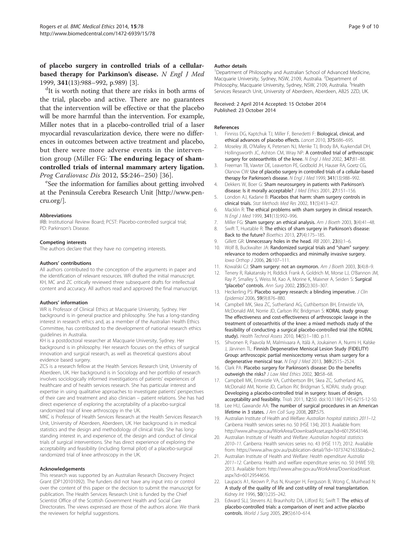<span id="page-8-0"></span>of placebo surgery in controlled trials of a cellularbased therapy for Parkinson's disease. N Engl J Med 1999, 341(13):988–992, p.989) [3].

<sup>d</sup>It is worth noting that there are risks in both arms of the trial, placebo and active. There are no guarantees that the intervention will be effective or that the placebo will be more harmful than the intervention. For example, Miller notes that in a placebo-controlled trial of a laser myocardial revascularization device, there were no differences in outcomes between active treatment and placebo, but there were more adverse events in the intervention group (Miller FG: The enduring legacy of shamcontrolled trials of internal mammary artery ligation. Prog Cardiovasc Dis 2012, 55:246-250) [[36\]](#page-9-0).

See the information for families about getting involved at the Peninsula Cerebra Research Unit [\[http://www.pen](http://www.pencru.org/)[cru.org/\]](http://www.pencru.org/).

#### Abbreviations

IRB: Institutional Review Board; PCST: Placebo-controlled surgical trial; PD: Parkinson's Disease.

#### Competing interests

The authors declare that they have no competing interests.

#### Authors' contributions

All authors contributed to the conception of the arguments in paper and the identification of relevant resources. WR drafted the initial manuscript. KH, MC and ZC critically reviewed three subsequent drafts for intellectual content and accuracy. All authors read and approved the final manuscript.

#### Authors' information

WR is Professor of Clinical Ethics at Macquarie University, Sydney. Her background is in general practice and philosophy. She has a long-standing interest in research ethics and, as a member of the Australian Health Ethics Committee, has contributed to the development of national research ethics guidelines in Australia.

KH is a postdoctoral researcher at Macquarie University, Sydney. Her background is in philosophy. Her research focuses on the ethics of surgical innovation and surgical research, as well as theoretical questions about evidence based surgery.

ZCS is a research fellow at the Health Services Research Unit, University of Aberdeen, UK. Her background is in Sociology and her portfolio of research involves sociologically informed investigations of patients' experiences of healthcare and of health services research. She has particular interest and expertise in using qualitative approaches to investigate patients' perspectives of their care and treatment and also clinician – patient relations. She has had direct experience of exploring the acceptability of a placebo-surgical randomized trial of knee arthroscopy in the UK.

MKC is Professor of Health Services Research at the Health Services Research Unit, University of Aberdeen, Aberdeen, UK. Her background is in medical statistics and the design and methodology of clinical trials. She has longstanding interest in, and experience of, the design and conduct of clinical trials of surgical interventions. She has direct experience of exploring the acceptability and feasibility (including formal pilot) of a placebo-surgical randomized trial of knee arthroscopy in the UK.

#### Acknowledgements

This research was supported by an Australian Research Discovery Project Grant (DP120101092). The funders did not have any input into or control over the content of this paper or the decision to submit the manuscript for publication. The Health Services Research Unit is funded by the Chief Scientist Office of the Scottish Government Health and Social Care Directorates. The views expressed are those of the authors alone. We thank the reviewers for helpful suggestions.

#### Author details

<sup>1</sup>Department of Philosophy and Australian School of Advanced Medicine, Macquarie University, Sydney, NSW, 2109, Australia. <sup>2</sup>Department of Philosophy, Macquarie University, Sydney, NSW, 2109, Australia. <sup>3</sup>Health Services Research Unit, University of Aberdeen, Aberdeen, AB25 2ZD, UK.

Received: 2 April 2014 Accepted: 15 October 2014 Published: 23 October 2014

#### References

- Finniss DG, Kaptchuk TJ, Miller F, Benedetti F: Biological, clinical, and ethical advances of placebo effects. Lancet 2010, 375:686-695.
- 2. Moseley JB, O'Malley K, Petersen NJ, Menke TJ, Brody BA, Kuykendall DH, Hollingsworth JC, Ashton CM, Wray NP: A controlled trial of arthroscopic surgery for osteoarthritis of the knee. N Engl J Med 2002, 347:81-88.
- 3. Freeman TB, Vawter DE, Leaverton PE, Godbold JH, Hauser RA, Goetz CG, Olanow CW: Use of placebo surgery in controlled trials of a cellular-based therapy for Parkinson's disease. N Engl J Med 1999, 341(13):988-992.
- 4. Dekkers W, Boer G: Sham neurosurgery in patients with Parkinson's disease: Is it morally acceptable? J Med Ethics 2001, 27:151-156.
- 5. London AJ, Kadane B: Placebos that harm: sham surgery controls in clinical trials. Stat Methods Med Res 2002, 11(5):413–427.
- 6. Macklin R: The ethical problems with sham surgery in clinical research. N Engl J Med 1999, 341(13):992–996.
- 7. Miller FG: Sham surgery: an ethical analysis. Am J Bioeth 2003, 3(4):41-48.
- 8. Swift T, Huxtable R: The ethics of sham surgery in Parkinson's disease: Back to the future? Bioethics 2013, 27(4):175–185.
- 9. Gillett GR: Unnecessary holes in the head. IRB 2001, 23(6):1-6.
- 10. Wolf B, Buckwalter JA: Randomized surgical trials and "sham" surgery: relevance to modern orthopaedics and minimally invasive surgery. Iowa Orthop J 2006, 26:107–111.
- 11. Kowalski CJ: Sham surgery: not an oxymoron. Am J Bioeth 2003, 3(4):8-9.
- 12. Tenery R, Rakatansky H, Riddick Frank A, Goldrich M, Morse LJ, O'Bannon JM, Ray P, Smalley S, Weiss M, Kao A, Morine K, Maixner A, Seiden S: Surgical "placebo" controls. Ann Surg 2002, 235(2):303–307.
- 13. Heckerling PS: Placebo surgery research: a blinding imperative. J Clin Epidemiol 2006, 59(9):876–880.
- 14. Campbell MK, Skea ZC, Sutherland AG, Cuthbertson BH, Entwistle VA, McDonald AM, Norrie JD, Carlson RV, Bridgman S: KORAL study group: The effectiveness and cost-effectiveness of arthroscopic lavage in the treatment of osteoarthritis of the knee: a mixed methods study of the feasibility of conducting a surgical placebo-controlled trial (the KORAL study). Health Technol Assess 2010, 14(5):1–180. p.11.
- 15. Sihvonen R, Paavola M, Malmivaara A, Itälä A, Joukainen A, Nurmi H, Kalske J, Järvinen TL: Finnish Degenerative Meniscal Lesion Study (FIDELITY) Group: arthroscopic partial meniscectomy versus sham surgery for a degenerative meniscal tear. N Engl J Med 2013, 369:2515–2524.
- 16. Clark PA: Placebo surgery for Parkinson's disease: Do the benefits outweigh the risks? J Law Med Ethics 2002, 30:58-68.
- 17. Campbell MK, Entwistle VA, Cuthbertson BH, Skea ZC, Sutherland AG, McDonald AM, Norrie JD, Carlson RV, Bridgman S, KORAL study group: Developing a placebo-controlled trial in surgery: Issues of design, acceptability and feasibility. Trials 2011, 12:50. doi:10.1186/1745-6215-12-50.
- 18. Lee HU, Gawande AA: The number of surgical procedures in an American lifetime in 3 states. J Am Coll Surg 2008, 207:S75.
- 19. Australian Institute of Health and Welfare: Australian hospital statistics 2011–12. Canberra: Health services series no. 50 (HSE 134); 2013. Available from: [http://www.aihw.gov.au/WorkArea/DownloadAsset.aspx?id=60129543146.](http://www.aihw.gov.au/WorkArea/DownloadAsset.aspx?id=60129543146)
- 20. Australian Institute of Health and Welfare: Australian hospital statistics 2010–11. Canberra: Health services series no. 43 (HSE 117); 2012. Available from:<https://www.aihw.gov.au/publication-detail/?id=10737421633&tab=2>.
- 21. Australian Institute of Health and Welfare: Health expenditure Australia 2011–12. Canberra: Health and welfare expenditure series no. 50 (HWE 59); 2013. Available from: [http://www.aihw.gov.au/WorkArea/DownloadAsset.](http://www.aihw.gov.au/WorkArea/DownloadAsset.aspx?id=60129544656) [aspx?id=60129544656](http://www.aihw.gov.au/WorkArea/DownloadAsset.aspx?id=60129544656).
- 22. Laupacis A1, Keown P, Pus N, Krueger H, Ferguson B, Wong C, Muirhead N: A study of the quality of life and cost-utility of renal transplantation. Kidney Int 1996, 50(1):235–242.
- 23. Edward SLJ, Stevens AJ, Braunholtz DA, Lilford RJ, Swift T: The ethics of placebo-controlled trials: a comparison of inert and active placebo controls. World J Surg 2005, 29(5):610-614.